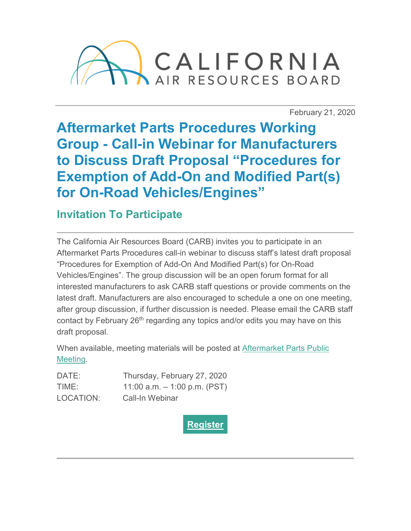

February 21, 2020

**Aftermarket Parts Procedures Working Group - Call-in Webinar for Manufacturers to Discuss Draft Proposal "Procedures for Exemption of Add-On and Modified Part(s) for On-Road Vehicles/Engines"**

**Invitation To Participate**

The California Air Resources Board (CARB) invites you to participate in an Aftermarket Parts Procedures call-in webinar to discuss staff's latest draft proposal "Procedures for Exemption of Add-On And Modified Part(s) for On-Road Vehicles/Engines". The group discussion will be an open forum format for all interested manufacturers to ask CARB staff questions or provide comments on the latest draft. Manufacturers are also encouraged to schedule a one on one meeting, after group discussion, if further discussion is needed. Please email the CARB staff contact by February 26<sup>th</sup> regarding any topics and/or edits you may have on this draft proposal.

When available, meeting materials will be posted at [Aftermarket Parts Public](https://ww2.arb.ca.gov/our-work/programs/aftermarket-performance-and-add-parts/aftermarket-parts-meetings-workshops?utm_medium=email&utm_source=govdelivery)  [Meeting.](https://ww2.arb.ca.gov/our-work/programs/aftermarket-performance-and-add-parts/aftermarket-parts-meetings-workshops?utm_medium=email&utm_source=govdelivery)

| DATE:     | Thursday, February 27, 2020    |
|-----------|--------------------------------|
| TIME:     | 11:00 a.m. $-$ 1:00 p.m. (PST) |
| LOCATION: | Call-In Webinar                |

**[Register](https://register.gotowebinar.com/register/2381308394617111051?utm_medium=email&utm_source=govdelivery)**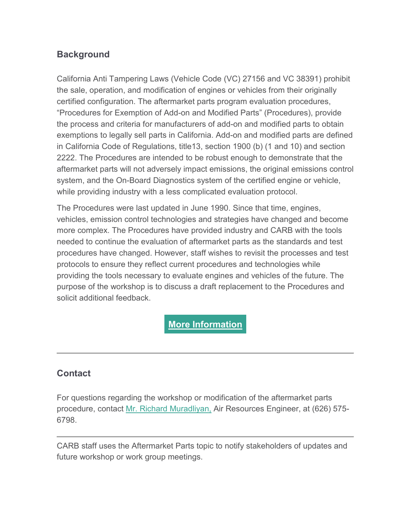## **Background**

California Anti Tampering Laws (Vehicle Code (VC) 27156 and VC 38391) prohibit the sale, operation, and modification of engines or vehicles from their originally certified configuration. The aftermarket parts program evaluation procedures, "Procedures for Exemption of Add-on and Modified Parts" (Procedures), provide the process and criteria for manufacturers of add-on and modified parts to obtain exemptions to legally sell parts in California. Add-on and modified parts are defined in California Code of Regulations, title13, section 1900 (b) (1 and 10) and section 2222. The Procedures are intended to be robust enough to demonstrate that the aftermarket parts will not adversely impact emissions, the original emissions control system, and the On-Board Diagnostics system of the certified engine or vehicle, while providing industry with a less complicated evaluation protocol.

The Procedures were last updated in June 1990. Since that time, engines, vehicles, emission control technologies and strategies have changed and become more complex. The Procedures have provided industry and CARB with the tools needed to continue the evaluation of aftermarket parts as the standards and test procedures have changed. However, staff wishes to revisit the processes and test protocols to ensure they reflect current procedures and technologies while providing the tools necessary to evaluate engines and vehicles of the future. The purpose of the workshop is to discuss a draft replacement to the Procedures and solicit additional feedback.

## **More [Information](https://ww2.arb.ca.gov/our-work/programs/aftermarket-performance-and-add-parts?utm_medium=email&utm_source=govdelivery)**

## **Contact**

For questions regarding the workshop or modification of the aftermarket parts procedure, contact Mr. [Richard Muradliyan,](mailto:Richard.Muradlyan@arb.ca.gov) Air Resources Engineer, at (626) 575- 6798.

CARB staff uses the Aftermarket Parts topic to notify stakeholders of updates and future workshop or work group meetings.